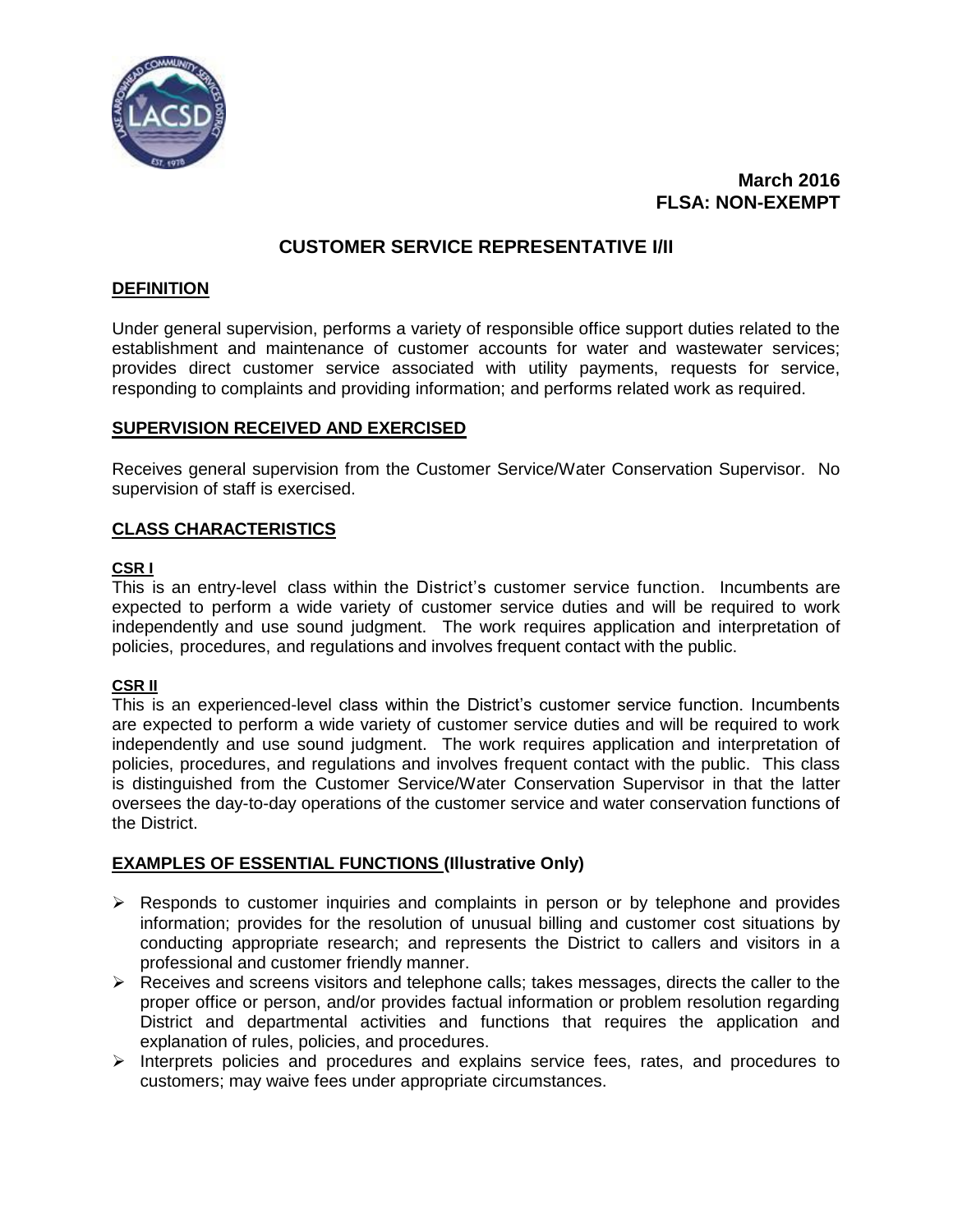

# **March 2016 FLSA: NON-EXEMPT**

# **CUSTOMER SERVICE REPRESENTATIVE I/II**

## **DEFINITION**

Under general supervision, performs a variety of responsible office support duties related to the establishment and maintenance of customer accounts for water and wastewater services; provides direct customer service associated with utility payments, requests for service, responding to complaints and providing information; and performs related work as required.

## **SUPERVISION RECEIVED AND EXERCISED**

Receives general supervision from the Customer Service/Water Conservation Supervisor. No supervision of staff is exercised.

## **CLASS CHARACTERISTICS**

## **CSR I**

This is an entry-level class within the District's customer service function. Incumbents are expected to perform a wide variety of customer service duties and will be required to work independently and use sound judgment. The work requires application and interpretation of policies, procedures, and regulations and involves frequent contact with the public.

#### **CSR II**

This is an experienced-level class within the District's customer service function. Incumbents are expected to perform a wide variety of customer service duties and will be required to work independently and use sound judgment. The work requires application and interpretation of policies, procedures, and regulations and involves frequent contact with the public. This class is distinguished from the Customer Service/Water Conservation Supervisor in that the latter oversees the day-to-day operations of the customer service and water conservation functions of the District.

## **EXAMPLES OF ESSENTIAL FUNCTIONS (Illustrative Only)**

- $\triangleright$  Responds to customer inquiries and complaints in person or by telephone and provides information; provides for the resolution of unusual billing and customer cost situations by conducting appropriate research; and represents the District to callers and visitors in a professional and customer friendly manner.
- $\triangleright$  Receives and screens visitors and telephone calls; takes messages, directs the caller to the proper office or person, and/or provides factual information or problem resolution regarding District and departmental activities and functions that requires the application and explanation of rules, policies, and procedures.
- $\triangleright$  Interprets policies and procedures and explains service fees, rates, and procedures to customers; may waive fees under appropriate circumstances.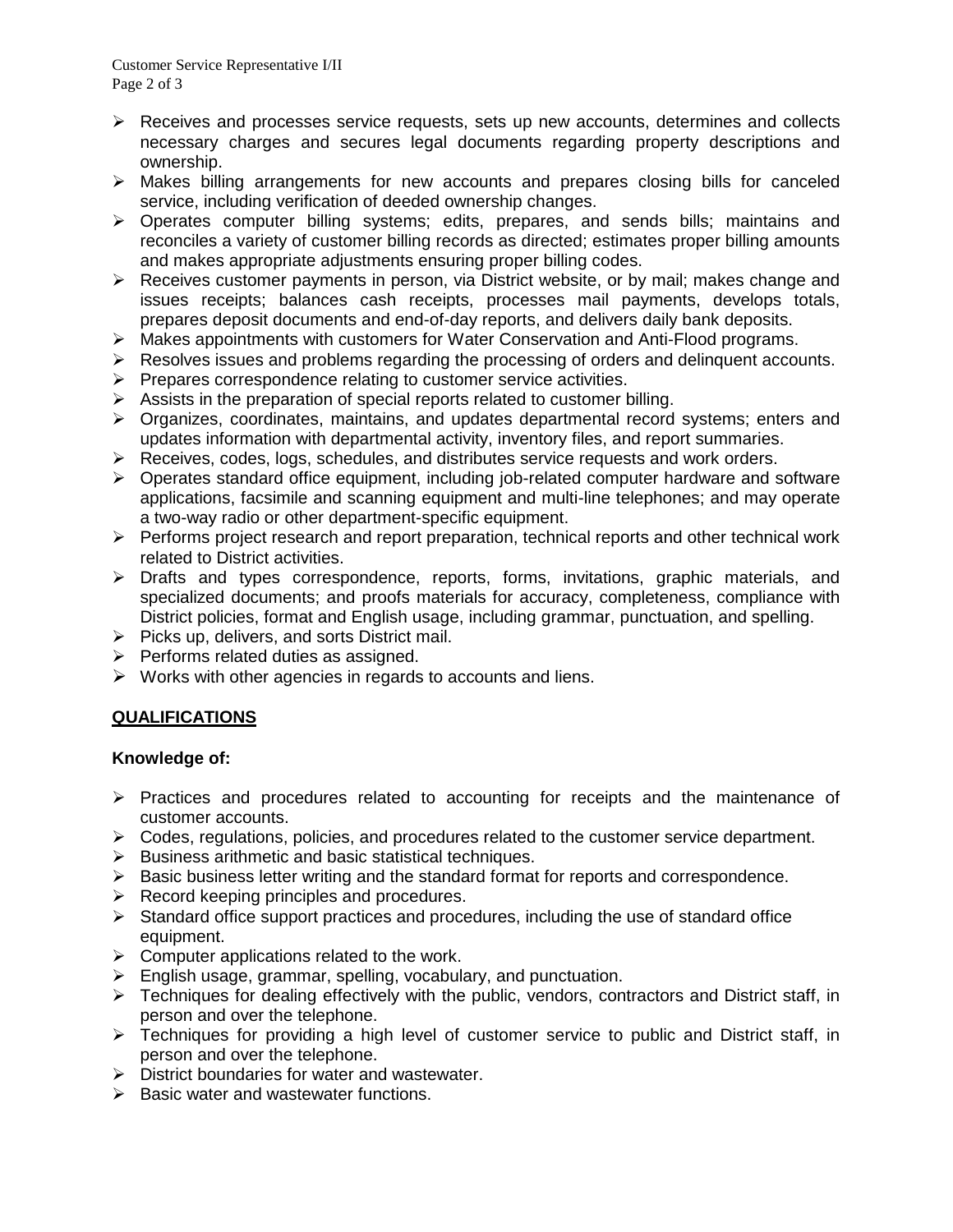- $\triangleright$  Receives and processes service requests, sets up new accounts, determines and collects necessary charges and secures legal documents regarding property descriptions and ownership.
- $\triangleright$  Makes billing arrangements for new accounts and prepares closing bills for canceled service, including verification of deeded ownership changes.
- Operates computer billing systems; edits, prepares, and sends bills; maintains and reconciles a variety of customer billing records as directed; estimates proper billing amounts and makes appropriate adjustments ensuring proper billing codes.
- ▶ Receives customer payments in person, via District website, or by mail; makes change and issues receipts; balances cash receipts, processes mail payments, develops totals, prepares deposit documents and end-of-day reports, and delivers daily bank deposits.
- $\triangleright$  Makes appointments with customers for Water Conservation and Anti-Flood programs.
- $\triangleright$  Resolves issues and problems regarding the processing of orders and delinguent accounts.
- $\triangleright$  Prepares correspondence relating to customer service activities.
- $\triangleright$  Assists in the preparation of special reports related to customer billing.
- $\triangleright$  Organizes, coordinates, maintains, and updates departmental record systems; enters and updates information with departmental activity, inventory files, and report summaries.
- $\triangleright$  Receives, codes, logs, schedules, and distributes service requests and work orders.
- Operates standard office equipment, including job-related computer hardware and software applications, facsimile and scanning equipment and multi-line telephones; and may operate a two-way radio or other department-specific equipment.
- $\triangleright$  Performs project research and report preparation, technical reports and other technical work related to District activities.
- Drafts and types correspondence, reports, forms, invitations, graphic materials, and specialized documents; and proofs materials for accuracy, completeness, compliance with District policies, format and English usage, including grammar, punctuation, and spelling.
- $\triangleright$  Picks up, delivers, and sorts District mail.
- $\triangleright$  Performs related duties as assigned.
- $\triangleright$  Works with other agencies in regards to accounts and liens.

## **QUALIFICATIONS**

#### **Knowledge of:**

- $\triangleright$  Practices and procedures related to accounting for receipts and the maintenance of customer accounts.
- $\triangleright$  Codes, regulations, policies, and procedures related to the customer service department.
- $\triangleright$  Business arithmetic and basic statistical techniques.
- $\triangleright$  Basic business letter writing and the standard format for reports and correspondence.
- $\triangleright$  Record keeping principles and procedures.
- $\triangleright$  Standard office support practices and procedures, including the use of standard office equipment.
- $\triangleright$  Computer applications related to the work.
- $\triangleright$  English usage, grammar, spelling, vocabulary, and punctuation.
- $\triangleright$  Techniques for dealing effectively with the public, vendors, contractors and District staff, in person and over the telephone.
- Fechniques for providing a high level of customer service to public and District staff. in person and over the telephone.
- $\triangleright$  District boundaries for water and wastewater.
- $\triangleright$  Basic water and wastewater functions.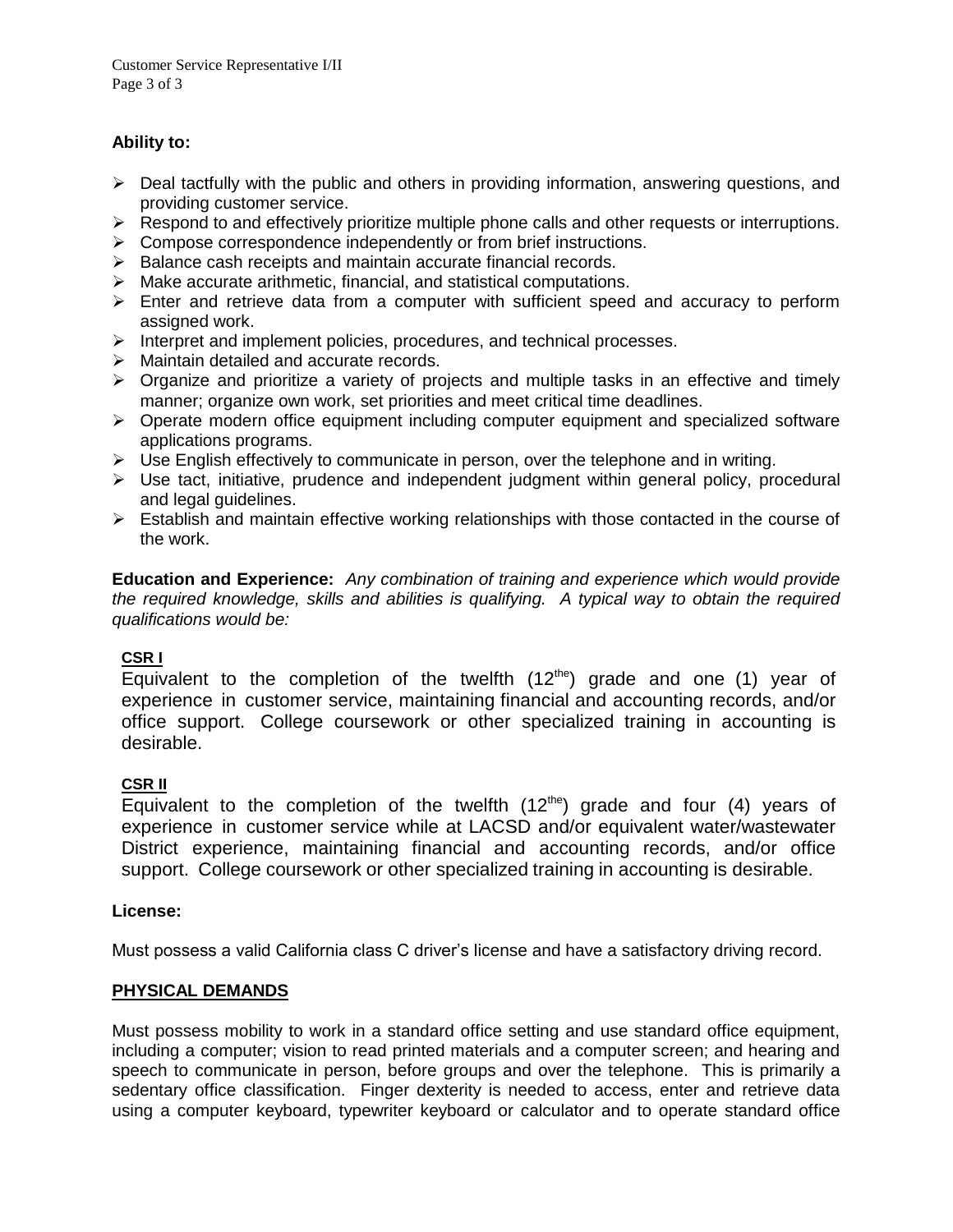## **Ability to:**

- $\triangleright$  Deal tactfully with the public and others in providing information, answering questions, and providing customer service.
- $\triangleright$  Respond to and effectively prioritize multiple phone calls and other requests or interruptions.
- $\triangleright$  Compose correspondence independently or from brief instructions.
- $\triangleright$  Balance cash receipts and maintain accurate financial records.
- $\triangleright$  Make accurate arithmetic, financial, and statistical computations.
- $\triangleright$  Enter and retrieve data from a computer with sufficient speed and accuracy to perform assigned work.
- $\triangleright$  Interpret and implement policies, procedures, and technical processes.
- $\triangleright$  Maintain detailed and accurate records.
- $\triangleright$  Organize and prioritize a variety of projects and multiple tasks in an effective and timely manner; organize own work, set priorities and meet critical time deadlines.
- $\triangleright$  Operate modern office equipment including computer equipment and specialized software applications programs.
- $\triangleright$  Use English effectively to communicate in person, over the telephone and in writing.
- $\triangleright$  Use tact, initiative, prudence and independent judgment within general policy, procedural and legal guidelines.
- $\triangleright$  Establish and maintain effective working relationships with those contacted in the course of the work.

**Education and Experience:** *Any combination of training and experience which would provide the required knowledge, skills and abilities is qualifying. A typical way to obtain the required qualifications would be:*

## **CSR I**

Equivalent to the completion of the twelfth  $(12<sup>the</sup>)$  grade and one (1) year of experience in customer service, maintaining financial and accounting records, and/or office support. College coursework or other specialized training in accounting is desirable.

#### **CSR II**

Equivalent to the completion of the twelfth  $(12<sup>the</sup>)$  grade and four (4) years of experience in customer service while at LACSD and/or equivalent water/wastewater District experience, maintaining financial and accounting records, and/or office support. College coursework or other specialized training in accounting is desirable.

#### **License:**

Must possess a valid California class C driver's license and have a satisfactory driving record.

## **PHYSICAL DEMANDS**

Must possess mobility to work in a standard office setting and use standard office equipment, including a computer; vision to read printed materials and a computer screen; and hearing and speech to communicate in person, before groups and over the telephone. This is primarily a sedentary office classification. Finger dexterity is needed to access, enter and retrieve data using a computer keyboard, typewriter keyboard or calculator and to operate standard office